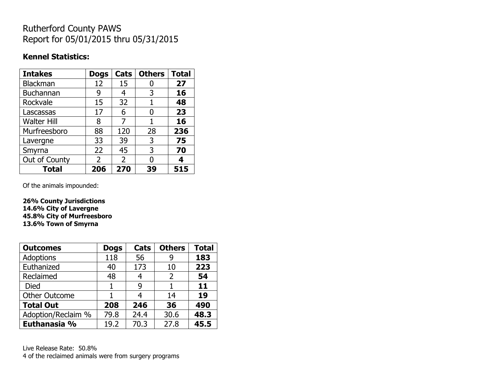## Rutherford County PAWS Report for 05/01/2015 thru 05/31/2015

#### **Kennel Statistics:**

| <b>Intakes</b>     | <b>Dogs</b>   | Cats           | <b>Others</b> | <b>Total</b> |
|--------------------|---------------|----------------|---------------|--------------|
| Blackman           | 12            | 15             | 0             | 27           |
| <b>Buchannan</b>   | 9             | 4              | 3             | 16           |
| Rockvale           | 15            | 32             |               | 48           |
| Lascassas          | 17            | 6              | 0             | 23           |
| <b>Walter Hill</b> | 8             | 7              | 1             | 16           |
| Murfreesboro       | 88            | 120            | 28            | 236          |
| Lavergne           | 33            | 39             | 3             | 75           |
| Smyrna             | 22            | 45             | 3             | 70           |
| Out of County      | $\mathcal{P}$ | $\overline{2}$ | N             | 4            |
| <b>Total</b>       | 206           | 270            | 39            | 515          |

Of the animals impounded:

**26% County Jurisdictions 14.6% City of Lavergne 45.8% City of Murfreesboro 13.6% Town of Smyrna**

| <b>Outcomes</b>      | <b>Dogs</b> | Cats | <b>Others</b>  | <b>Total</b> |
|----------------------|-------------|------|----------------|--------------|
| <b>Adoptions</b>     | 118         | 56   | 9              | 183          |
| Euthanized           | 40          | 173  | 10             | 223          |
| Reclaimed            | 48          | 4    | $\overline{2}$ | 54           |
| <b>Died</b>          | 1           | 9    |                | 11           |
| <b>Other Outcome</b> |             |      | 14             | 19           |
| <b>Total Out</b>     | 208         | 246  | 36             | 490          |
| Adoption/Reclaim %   | 79.8        | 24.4 | 30.6           | 48.3         |
| Euthanasia %         | 19.2        | 70.3 | 27.8           | 45.5         |

Live Release Rate: 50.8% 4 of the reclaimed animals were from surgery programs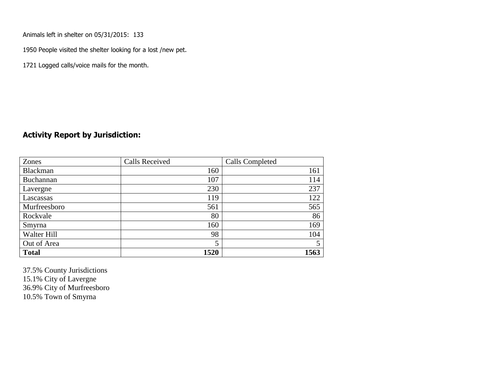Animals left in shelter on 05/31/2015: 133

1950 People visited the shelter looking for a lost /new pet.

1721 Logged calls/voice mails for the month.

#### **Activity Report by Jurisdiction:**

| Zones           | <b>Calls Received</b> | Calls Completed |
|-----------------|-----------------------|-----------------|
| <b>Blackman</b> | 160                   | 161             |
| Buchannan       | 107                   | 114             |
| Lavergne        | 230                   | 237             |
| Lascassas       | 119                   | 122             |
| Murfreesboro    | 561                   | 565             |
| Rockvale        | 80                    | 86              |
| Smyrna          | 160                   | 169             |
| Walter Hill     | 98                    | 104             |
| Out of Area     | 5                     | 5               |
| <b>Total</b>    | 1520                  | 1563            |

37.5% County Jurisdictions 15.1% City of Lavergne 36.9% City of Murfreesboro 10.5% Town of Smyrna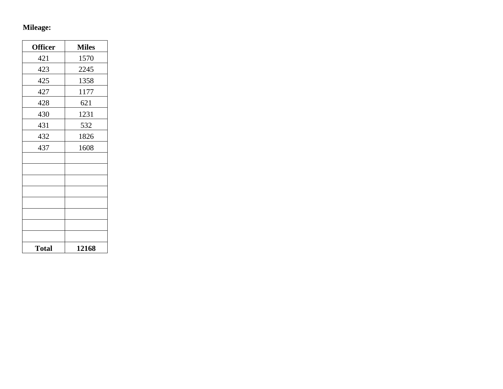# **Mileage:**

| <b>Officer</b> | <b>Miles</b> |
|----------------|--------------|
| 421            | 1570         |
| 423            | 2245         |
| 425            | 1358         |
| 427            | 1177         |
| 428            | 621          |
| 430            | 1231         |
| 431            | 532          |
| 432            | 1826         |
| 437            | 1608         |
|                |              |
|                |              |
|                |              |
|                |              |
|                |              |
|                |              |
|                |              |
|                |              |
| <b>Total</b>   | 12168        |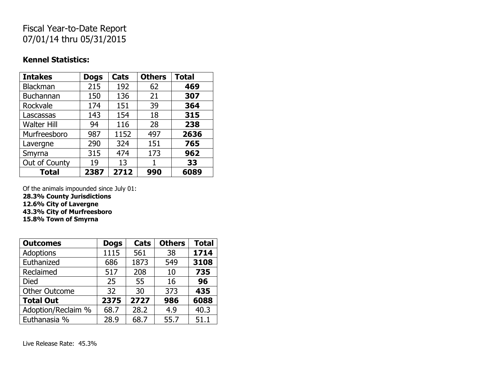## Fiscal Year-to-Date Report 07/01/14 thru 05/31/2015

#### **Kennel Statistics:**

| <b>Intakes</b>     | <b>Dogs</b> | Cats | <b>Others</b> | <b>Total</b> |
|--------------------|-------------|------|---------------|--------------|
| Blackman           | 215         | 192  | 62            | 469          |
| <b>Buchannan</b>   | 150         | 136  | 21            | 307          |
| Rockvale           | 174         | 151  | 39            | 364          |
| Lascassas          | 143         | 154  | 18            | 315          |
| <b>Walter Hill</b> | 94          | 116  | 28            | 238          |
| Murfreesboro       | 987         | 1152 | 497           | 2636         |
| Lavergne           | 290         | 324  | 151           | 765          |
| Smyrna             | 315         | 474  | 173           | 962          |
| Out of County      | 19          | 13   |               | 33           |
| <b>Total</b>       | 2387        | 2712 | 990           | 6089         |

Of the animals impounded since July 01:

**28.3% County Jurisdictions**

**12.6% City of Lavergne**

**43.3% City of Murfreesboro**

**15.8% Town of Smyrna**

| <b>Outcomes</b>      | <b>Dogs</b> | Cats | <b>Others</b> | <b>Total</b> |
|----------------------|-------------|------|---------------|--------------|
| <b>Adoptions</b>     | 1115        | 561  | 38            | 1714         |
| Euthanized           | 686         | 1873 | 549           | 3108         |
| Reclaimed            | 517         | 208  | 10            | 735          |
| <b>Died</b>          | 25          | 55   | 16            | 96           |
| <b>Other Outcome</b> | 32          | 30   | 373           | 435          |
| <b>Total Out</b>     | 2375        | 2727 | 986           | 6088         |
| Adoption/Reclaim %   | 68.7        | 28.2 | 4.9           | 40.3         |
| Euthanasia %         | 28.9        | 68.7 | 55.7          | 51.1         |

Live Release Rate: 45.3%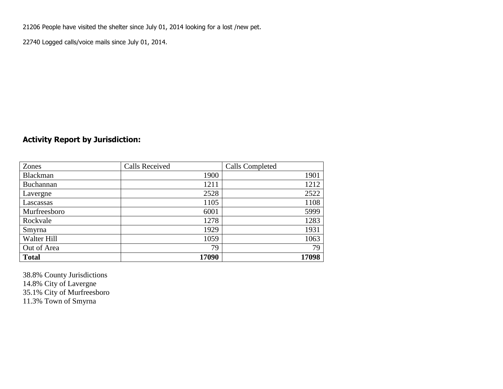21206 People have visited the shelter since July 01, 2014 looking for a lost /new pet.

22740 Logged calls/voice mails since July 01, 2014.

### **Activity Report by Jurisdiction:**

| Zones        | <b>Calls Received</b> | Calls Completed |
|--------------|-----------------------|-----------------|
| Blackman     | 1900                  | 1901            |
| Buchannan    | 1211                  | 1212            |
| Lavergne     | 2528                  | 2522            |
| Lascassas    | 1105                  | 1108            |
| Murfreesboro | 6001                  | 5999            |
| Rockvale     | 1278                  | 1283            |
| Smyrna       | 1929                  | 1931            |
| Walter Hill  | 1059                  | 1063            |
| Out of Area  | 79                    | 79              |
| <b>Total</b> | 17090                 | 17098           |

38.8% County Jurisdictions 14.8% City of Lavergne 35.1% City of Murfreesboro 11.3% Town of Smyrna